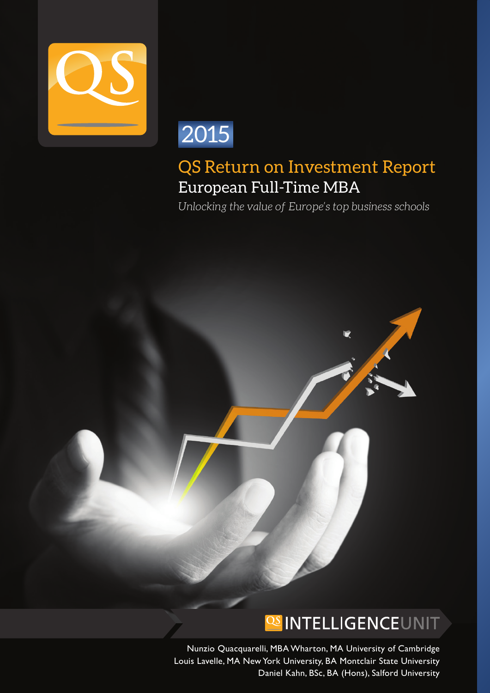



# QS Return on Investment Report European Full-Time MBA

*Unlocking the value of Europe's top business schools*

# **OS INTELLIGENCEUNIT**

Nunzio Quacquarelli, MBA Wharton, MA University of Cambridge Louis Lavelle, MA New York University, BA Montclair State University Daniel Kahn, BSc, BA (Hons), Salford University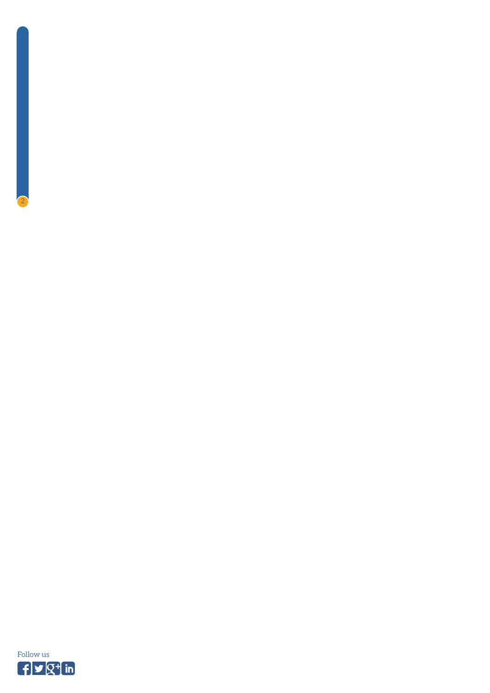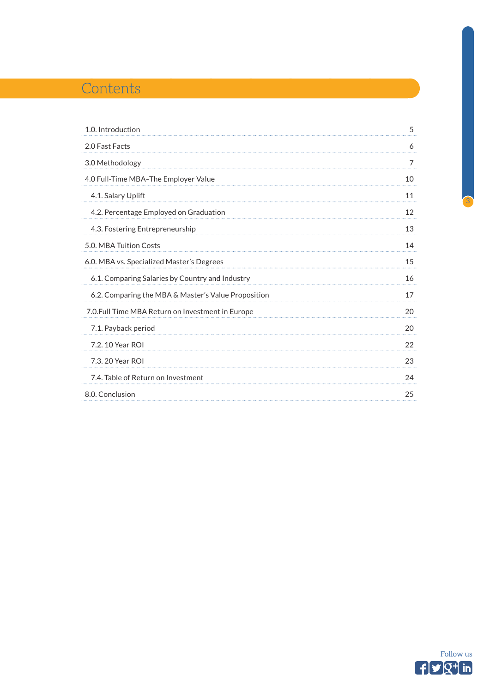# **Contents**

| 1.0. Introduction                                   | 5              |
|-----------------------------------------------------|----------------|
| 2.0 Fast Facts                                      | 6              |
| 3.0 Methodology                                     | $\overline{7}$ |
| 4.0 Full-Time MBA-The Employer Value                | 10             |
| 4.1. Salary Uplift                                  | 11             |
| 4.2. Percentage Employed on Graduation              | 12             |
| 4.3. Fostering Entrepreneurship                     | 13             |
| 5.0. MBA Tuition Costs                              | 14             |
| 6.0. MBA vs. Specialized Master's Degrees           | 15             |
| 6.1. Comparing Salaries by Country and Industry     | 16             |
| 6.2. Comparing the MBA & Master's Value Proposition | 17             |
| 7.0. Full Time MBA Return on Investment in Europe   | 20             |
| 7.1. Payback period                                 | 20             |
| 7.2. 10 Year ROI                                    | 22             |
| 7.3.20 Year ROI                                     | 23             |
| 7.4. Table of Return on Investment                  | 24             |
| 8.0. Conclusion                                     | 25             |

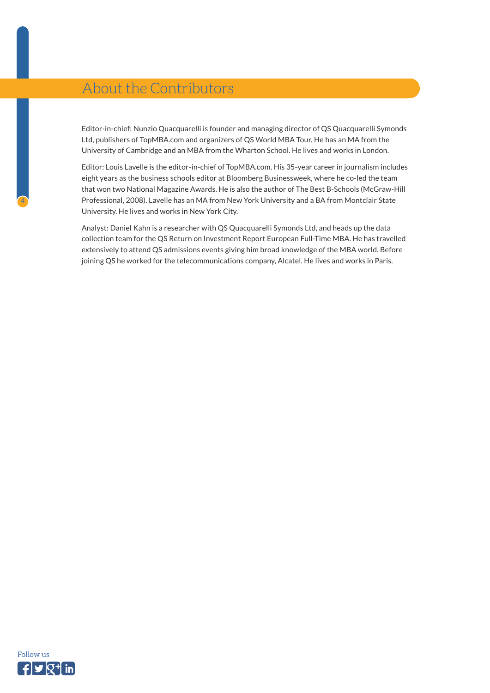# About the Contributors

Editor-in-chief: Nunzio Quacquarelli is founder and managing director of QS Quacquarelli Symonds Ltd, publishers of TopMBA.com and organizers of QS World MBA Tour. He has an MA from the University of Cambridge and an MBA from the Wharton School. He lives and works in London.

Editor: Louis Lavelle is the editor-in-chief of TopMBA.com. His 35-year career in journalism includes eight years as the business schools editor at Bloomberg Businessweek, where he co-led the team that won two National Magazine Awards. He is also the author of The Best B-Schools (McGraw-Hill Professional, 2008). Lavelle has an MA from New York University and a BA from Montclair State University. He lives and works in New York City.

Analyst: Daniel Kahn is a researcher with QS Quacquarelli Symonds Ltd, and heads up the data collection team for the QS Return on Investment Report European Full-Time MBA. He has travelled extensively to attend QS admissions events giving him broad knowledge of the MBA world. Before joining QS he worked for the telecommunications company, Alcatel. He lives and works in Paris.

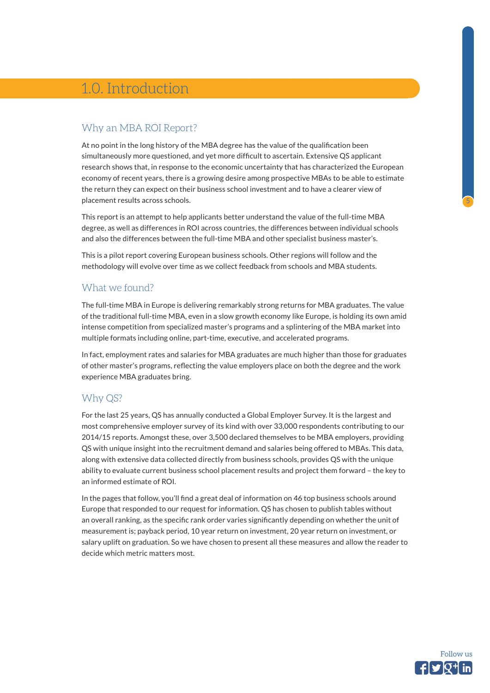# <span id="page-4-0"></span>1.0. Introduction

## Why an MBA ROI Report?

At no point in the long history of the MBA degree has the value of the qualification been simultaneously more questioned, and yet more difficult to ascertain. Extensive QS applicant research shows that, in response to the economic uncertainty that has characterized the European economy of recent years, there is a growing desire among prospective MBAs to be able to estimate the return they can expect on their business school investment and to have a clearer view of placement results across schools.

This report is an attempt to help applicants better understand the value of the full-time MBA degree, as well as differences in ROI across countries, the differences between individual schools and also the differences between the full-time MBA and other specialist business master's.

This is a pilot report covering European business schools. Other regions will follow and the methodology will evolve over time as we collect feedback from schools and MBA students.

### What we found?

The full-time MBA in Europe is delivering remarkably strong returns for MBA graduates. The value of the traditional full-time MBA, even in a slow growth economy like Europe, is holding its own amid intense competition from specialized master's programs and a splintering of the MBA market into multiple formats including online, part-time, executive, and accelerated programs.

In fact, employment rates and salaries for MBA graduates are much higher than those for graduates of other master's programs, reflecting the value employers place on both the degree and the work experience MBA graduates bring.

### Why QS?

For the last 25 years, QS has annually conducted a Global Employer Survey. It is the largest and most comprehensive employer survey of its kind with over 33,000 respondents contributing to our 2014/15 reports. Amongst these, over 3,500 declared themselves to be MBA employers, providing QS with unique insight into the recruitment demand and salaries being offered to MBAs. This data, along with extensive data collected directly from business schools, provides QS with the unique ability to evaluate current business school placement results and project them forward – the key to an informed estimate of ROI.

In the pages that follow, you'll find a great deal of information on 46 top business schools around Europe that responded to our request for information. QS has chosen to publish tables without an overall ranking, as the specific rank order varies significantly depending on whether the unit of measurement is; payback period, 10 year return on investment, 20 year return on investment, or salary uplift on graduation. So we have chosen to present all these measures and allow the reader to decide which metric matters most.

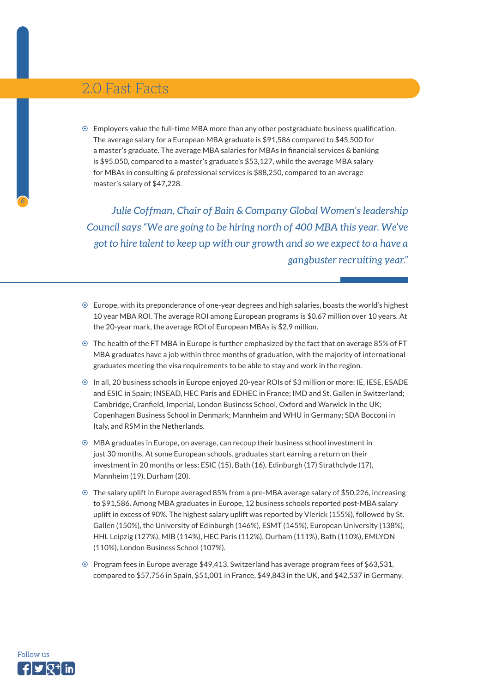# <span id="page-5-0"></span>2.0 Fast Facts

 $\odot$  Employers value the full-time MBA more than any other postgraduate business qualification. The average salary for a European MBA graduate is \$91,586 compared to \$45,500 for a master's graduate. The average MBA salaries for MBAs in financial services & banking is \$95,050, compared to a master's graduate's \$53,127, while the average MBA salary for MBAs in consulting & professional services is \$88,250, compared to an average master's salary of \$47,228.

*Julie Coffman, Chair of Bain & Company Global Women's leadership Council says "We are going to be hiring north of 400 MBA this year. We've got to hire talent to keep up with our growth and so we expect to a have a gangbuster recruiting year."*

- $\odot$  Europe, with its preponderance of one-year degrees and high salaries, boasts the world's highest 10 year MBA ROI. The average ROI among European programs is \$0.67 million over 10 years. At the 20-year mark, the average ROI of European MBAs is \$2.9 million.
- $\odot$  The health of the FT MBA in Europe is further emphasized by the fact that on average 85% of FT MBA graduates have a job within three months of graduation, with the majority of international graduates meeting the visa requirements to be able to stay and work in the region.
- ~ In all, 20 business schools in Europe enjoyed 20-year ROIs of \$3 million or more: IE, IESE, ESADE and ESIC in Spain; INSEAD, HEC Paris and EDHEC in France; IMD and St. Gallen in Switzerland; Cambridge, Cranfield, Imperial, London Business School, Oxford and Warwick in the UK; Copenhagen Business School in Denmark; Mannheim and WHU in Germany; SDA Bocconi in Italy, and RSM in the Netherlands.
- $\odot$  MBA graduates in Europe, on average, can recoup their business school investment in just 30 months. At some European schools, graduates start earning a return on their investment in 20 months or less: ESIC (15), Bath (16), Edinburgh (17) Strathclyde (17), Mannheim (19), Durham (20).
- ~ The salary uplift in Europe averaged 85% from a pre-MBA average salary of \$50,226, increasing to \$91,586. Among MBA graduates in Europe, 12 business schools reported post-MBA salary uplift in excess of 90%. The highest salary uplift was reported by Vlerick (155%), followed by St. Gallen (150%), the University of Edinburgh (146%), ESMT (145%), European University (138%), HHL Leipzig (127%), MIB (114%), HEC Paris (112%), Durham (111%), Bath (110%), EMLYON (110%), London Business School (107%).
- ~ Program fees in Europe average \$49,413. Switzerland has average program fees of \$63,531, compared to \$57,756 in Spain, \$51,001 in France, \$49,843 in the UK, and \$42,537 in Germany.

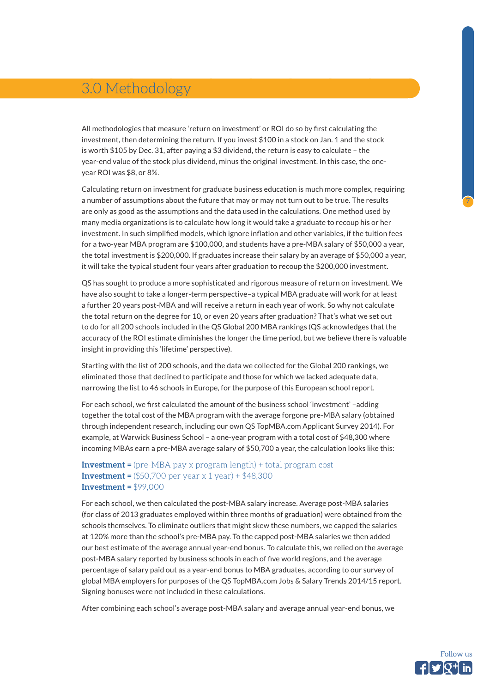# <span id="page-6-0"></span>3.0 Methodology

All methodologies that measure 'return on investment' or ROI do so by first calculating the investment, then determining the return. If you invest \$100 in a stock on Jan. 1 and the stock is worth \$105 by Dec. 31, after paying a \$3 dividend, the return is easy to calculate – the year-end value of the stock plus dividend, minus the original investment. In this case, the oneyear ROI was \$8, or 8%.

Calculating return on investment for graduate business education is much more complex, requiring a number of assumptions about the future that may or may not turn out to be true. The results are only as good as the assumptions and the data used in the calculations. One method used by many media organizations is to calculate how long it would take a graduate to recoup his or her investment. In such simplified models, which ignore inflation and other variables, if the tuition fees for a two-year MBA program are \$100,000, and students have a pre-MBA salary of \$50,000 a year, the total investment is \$200,000. If graduates increase their salary by an average of \$50,000 a year, it will take the typical student four years after graduation to recoup the \$200,000 investment.

QS has sought to produce a more sophisticated and rigorous measure of return on investment. We have also sought to take a longer-term perspective–a typical MBA graduate will work for at least a further 20 years post-MBA and will receive a return in each year of work. So why not calculate the total return on the degree for 10, or even 20 years after graduation? That's what we set out to do for all 200 schools included in the QS Global 200 MBA rankings (QS acknowledges that the accuracy of the ROI estimate diminishes the longer the time period, but we believe there is valuable insight in providing this 'lifetime' perspective).

Starting with the list of 200 schools, and the data we collected for the Global 200 rankings, we eliminated those that declined to participate and those for which we lacked adequate data, narrowing the list to 46 schools in Europe, for the purpose of this European school report.

For each school, we first calculated the amount of the business school 'investment' –adding together the total cost of the MBA program with the average forgone pre-MBA salary (obtained through independent research, including our own QS TopMBA.com Applicant Survey 2014). For example, at Warwick Business School – a one-year program with a total cost of \$48,300 where incoming MBAs earn a pre-MBA average salary of \$50,700 a year, the calculation looks like this:

#### **Investment =** (pre-MBA pay x program length) + total program cost **Investment =**  $($50,700$  per year x 1 year) +  $$48,300$ **Investment =** \$99,000

For each school, we then calculated the post-MBA salary increase. Average post-MBA salaries (for class of 2013 graduates employed within three months of graduation) were obtained from the schools themselves. To eliminate outliers that might skew these numbers, we capped the salaries at 120% more than the school's pre-MBA pay. To the capped post-MBA salaries we then added our best estimate of the average annual year-end bonus. To calculate this, we relied on the average post-MBA salary reported by business schools in each of five world regions, and the average percentage of salary paid out as a year-end bonus to MBA graduates, according to our survey of global MBA employers for purposes of the QS TopMBA.com Jobs & Salary Trends 2014/15 report. Signing bonuses were not included in these calculations.

After combining each school's average post-MBA salary and average annual year-end bonus, we

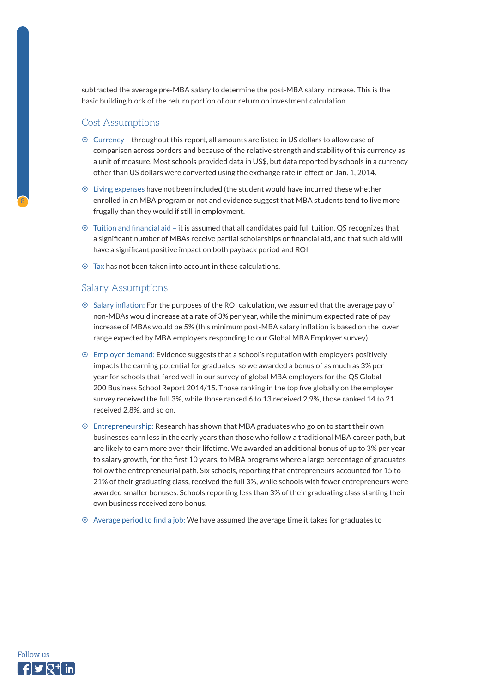subtracted the average pre-MBA salary to determine the post-MBA salary increase. This is the basic building block of the return portion of our return on investment calculation.

#### Cost Assumptions

8

- ~ Currency throughout this report, all amounts are listed in US dollars to allow ease of comparison across borders and because of the relative strength and stability of this currency as a unit of measure. Most schools provided data in US\$, but data reported by schools in a currency other than US dollars were converted using the exchange rate in effect on Jan. 1, 2014.
- ~ Living expenses have not been included (the student would have incurred these whether enrolled in an MBA program or not and evidence suggest that MBA students tend to live more frugally than they would if still in employment.
- ~ Tuition and financial aid it is assumed that all candidates paid full tuition. QS recognizes that a significant number of MBAs receive partial scholarships or financial aid, and that such aid will have a significant positive impact on both payback period and ROI.
- $\odot$  Tax has not been taken into account in these calculations.

#### Salary Assumptions

- ~ Salary inflation: For the purposes of the ROI calculation, we assumed that the average pay of non-MBAs would increase at a rate of 3% per year, while the minimum expected rate of pay increase of MBAs would be 5% (this minimum post-MBA salary inflation is based on the lower range expected by MBA employers responding to our Global MBA Employer survey).
- ~ Employer demand: Evidence suggests that a school's reputation with employers positively impacts the earning potential for graduates, so we awarded a bonus of as much as 3% per year for schools that fared well in our survey of global MBA employers for the QS Global 200 Business School Report 2014/15. Those ranking in the top five globally on the employer survey received the full 3%, while those ranked 6 to 13 received 2.9%, those ranked 14 to 21 received 2.8%, and so on.
- ~ Entrepreneurship: Research has shown that MBA graduates who go on to start their own businesses earn less in the early years than those who follow a traditional MBA career path, but are likely to earn more over their lifetime. We awarded an additional bonus of up to 3% per year to salary growth, for the first 10 years, to MBA programs where a large percentage of graduates follow the entrepreneurial path. Six schools, reporting that entrepreneurs accounted for 15 to 21% of their graduating class, received the full 3%, while schools with fewer entrepreneurs were awarded smaller bonuses. Schools reporting less than 3% of their graduating class starting their own business received zero bonus.
- $\odot$  Average period to find a job: We have assumed the average time it takes for graduates to

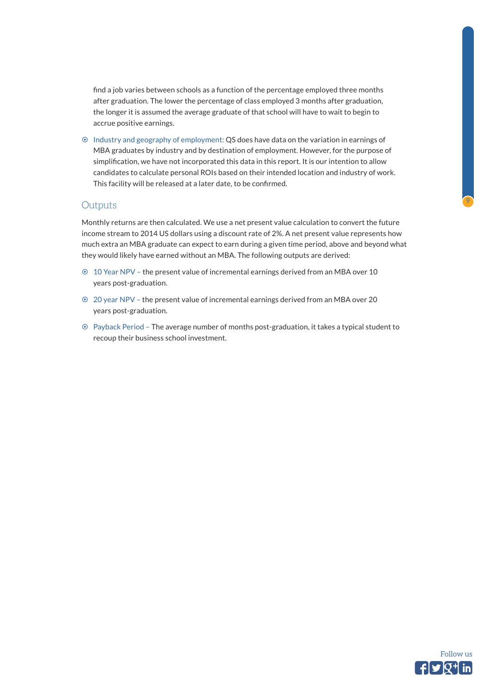find a job varies between schools as a function of the percentage employed three months after graduation. The lower the percentage of class employed 3 months after graduation, the longer it is assumed the average graduate of that school will have to wait to begin to accrue positive earnings.

~ Industry and geography of employment: QS does have data on the variation in earnings of MBA graduates by industry and by destination of employment. However, for the purpose of simplification, we have not incorporated this data in this report. It is our intention to allow candidates to calculate personal ROIs based on their intended location and industry of work. This facility will be released at a later date, to be confirmed.

#### **Outputs**

Monthly returns are then calculated. We use a net present value calculation to convert the future income stream to 2014 US dollars using a discount rate of 2%. A net present value represents how much extra an MBA graduate can expect to earn during a given time period, above and beyond what they would likely have earned without an MBA. The following outputs are derived:

- ~ 10 Year NPV the present value of incremental earnings derived from an MBA over 10 years post-graduation.
- ~ 20 year NPV the present value of incremental earnings derived from an MBA over 20 years post-graduation.
- ~ Payback Period The average number of months post-graduation, it takes a typical student to recoup their business school investment.

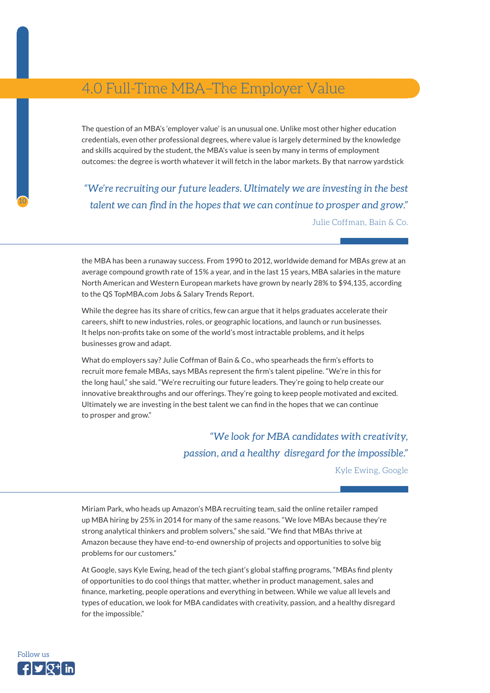# <span id="page-9-0"></span>4.0 Full-Time MBA–The Employer Value

The question of an MBA's 'employer value' is an unusual one. Unlike most other higher education credentials, even other professional degrees, where value is largely determined by the knowledge and skills acquired by the student, the MBA's value is seen by many in terms of employment outcomes: the degree is worth whatever it will fetch in the labor markets. By that narrow yardstick

*"We're recruiting our future leaders. Ultimately we are investing in the best talent we can find in the hopes that we can continue to prosper and grow."*  Julie Coffman, Bain & Co.

the MBA has been a runaway success. From 1990 to 2012, worldwide demand for MBAs grew at an average compound growth rate of 15% a year, and in the last 15 years, MBA salaries in the mature North American and Western European markets have grown by nearly 28% to \$94,135, according to the QS TopMBA.com Jobs & Salary Trends Report.

While the degree has its share of critics, few can argue that it helps graduates accelerate their careers, shift to new industries, roles, or geographic locations, and launch or run businesses. It helps non-profits take on some of the world's most intractable problems, and it helps businesses grow and adapt.

What do employers say? Julie Coffman of Bain & Co., who spearheads the firm's efforts to recruit more female MBAs, says MBAs represent the firm's talent pipeline. "We're in this for the long haul," she said. "We're recruiting our future leaders. They're going to help create our innovative breakthroughs and our offerings. They're going to keep people motivated and excited. Ultimately we are investing in the best talent we can find in the hopes that we can continue to prosper and grow."

> *"We look for MBA candidates with creativity, passion, and a healthy disregard for the impossible."*

> > Kyle Ewing, Google

Miriam Park, who heads up Amazon's MBA recruiting team, said the online retailer ramped up MBA hiring by 25% in 2014 for many of the same reasons. "We love MBAs because they're strong analytical thinkers and problem solvers," she said. "We find that MBAs thrive at Amazon because they have end-to-end ownership of projects and opportunities to solve big problems for our customers."

At Google, says Kyle Ewing, head of the tech giant's global staffing programs, "MBAs find plenty of opportunities to do cool things that matter, whether in product management, sales and finance, marketing, people operations and everything in between. While we value all levels and types of education, we look for MBA candidates with creativity, passion, and a healthy disregard for the impossible."

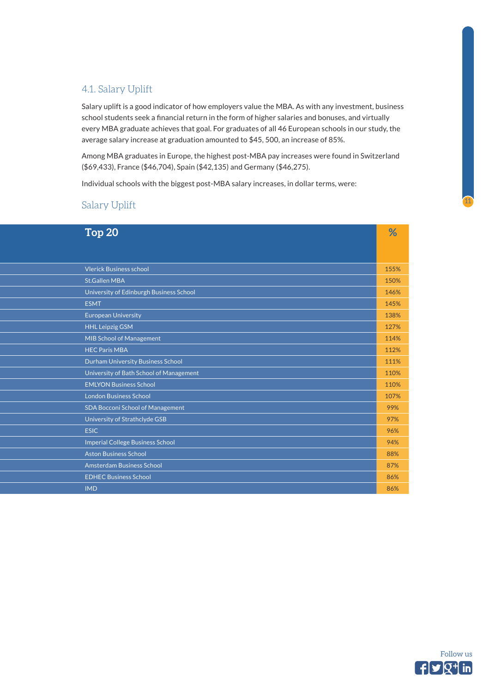### <span id="page-10-0"></span>4.1. Salary Uplift

Salary uplift is a good indicator of how employers value the MBA. As with any investment, business school students seek a financial return in the form of higher salaries and bonuses, and virtually every MBA graduate achieves that goal. For graduates of all 46 European schools in our study, the average salary increase at graduation amounted to \$45, 500, an increase of 85%.

Among MBA graduates in Europe, the highest post-MBA pay increases were found in Switzerland (\$69,433), France (\$46,704), Spain (\$42,135) and Germany (\$46,275).

Individual schools with the biggest post-MBA salary increases, in dollar terms, were:

### Salary Uplift

| Top <sub>20</sub>                       | %    |
|-----------------------------------------|------|
|                                         |      |
|                                         |      |
| <b>Vlerick Business school</b>          | 155% |
| <b>St.Gallen MBA</b>                    | 150% |
| University of Edinburgh Business School | 146% |
| <b>ESMT</b>                             | 145% |
| <b>European University</b>              | 138% |
| <b>HHL Leipzig GSM</b>                  | 127% |
| <b>MIB School of Management</b>         | 114% |
| <b>HEC Paris MBA</b>                    | 112% |
| Durham University Business School       | 111% |
| University of Bath School of Management | 110% |
| <b>EMLYON Business School</b>           | 110% |
| <b>London Business School</b>           | 107% |
| <b>SDA Bocconi School of Management</b> | 99%  |
| University of Strathclyde GSB           | 97%  |
| <b>ESIC</b>                             | 96%  |
| <b>Imperial College Business School</b> | 94%  |
| <b>Aston Business School</b>            | 88%  |
| <b>Amsterdam Business School</b>        | 87%  |
| <b>EDHEC Business School</b>            | 86%  |
| <b>IMD</b>                              | 86%  |

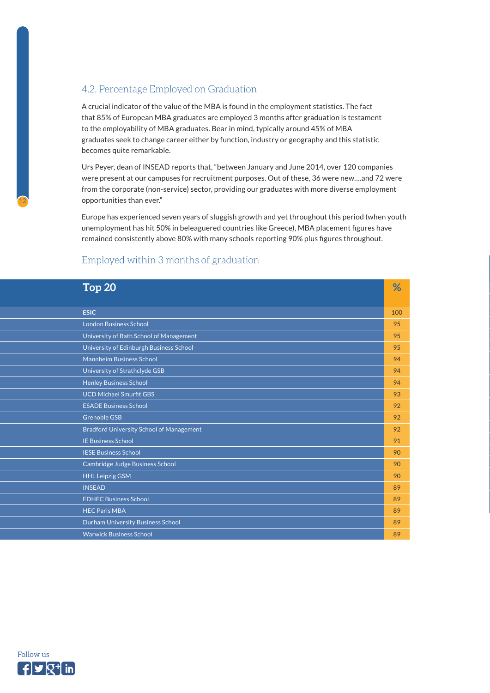### <span id="page-11-0"></span>4.2. Percentage Employed on Graduation

A crucial indicator of the value of the MBA is found in the employment statistics. The fact that 85% of European MBA graduates are employed 3 months after graduation is testament to the employability of MBA graduates. Bear in mind, typically around 45% of MBA graduates seek to change career either by function, industry or geography and this statistic becomes quite remarkable.

Urs Peyer, dean of INSEAD reports that, "between January and June 2014, over 120 companies were present at our campuses for recruitment purposes. Out of these, 36 were new….and 72 were from the corporate (non-service) sector, providing our graduates with more diverse employment opportunities than ever."

Europe has experienced seven years of sluggish growth and yet throughout this period (when youth unemployment has hit 50% in beleaguered countries like Greece), MBA placement figures have remained consistently above 80% with many schools reporting 90% plus figures throughout.

### Employed within 3 months of graduation

| Top <sub>20</sub>                               | %   |
|-------------------------------------------------|-----|
| <b>ESIC</b>                                     | 100 |
| <b>London Business School</b>                   | 95  |
| University of Bath School of Management         | 95  |
| University of Edinburgh Business School         | 95  |
| <b>Mannheim Business School</b>                 | 94  |
| University of Strathclyde GSB                   | 94  |
| <b>Henley Business School</b>                   | 94  |
| <b>UCD Michael Smurfit GBS</b>                  | 93  |
| <b>ESADE Business School</b>                    | 92  |
| <b>Grenoble GSB</b>                             | 92  |
| <b>Bradford University School of Management</b> | 92  |
| <b>IE Business School</b>                       | 91  |
| <b>IESE Business School</b>                     | 90  |
| Cambridge Judge Business School                 | 90  |
| <b>HHL Leipzig GSM</b>                          | 90  |
| <b>INSEAD</b>                                   | 89  |
| <b>EDHEC Business School</b>                    | 89  |
| <b>HEC Paris MBA</b>                            | 89  |
| Durham University Business School               | 89  |
| <b>Warwick Business School</b>                  | 89  |

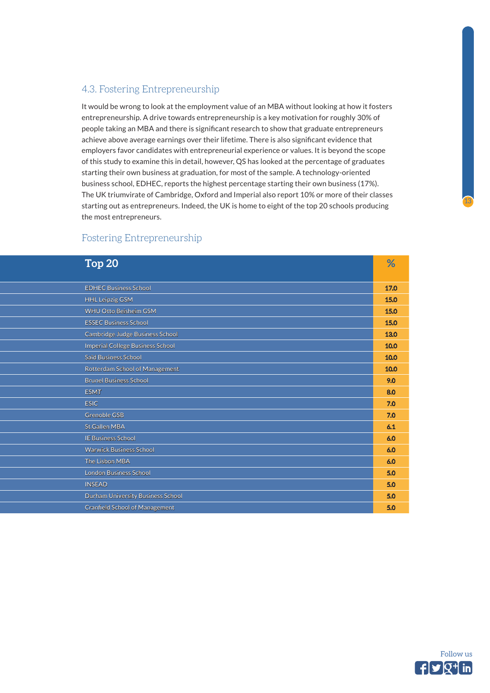### <span id="page-12-0"></span>4.3. Fostering Entrepreneurship

It would be wrong to look at the employment value of an MBA without looking at how it fosters entrepreneurship. A drive towards entrepreneurship is a key motivation for roughly 30% of people taking an MBA and there is significant research to show that graduate entrepreneurs achieve above average earnings over their lifetime. There is also significant evidence that employers favor candidates with entrepreneurial experience or values. It is beyond the scope of this study to examine this in detail, however, QS has looked at the percentage of graduates starting their own business at graduation, for most of the sample. A technology-oriented business school, EDHEC, reports the highest percentage starting their own business (17%). The UK triumvirate of Cambridge, Oxford and Imperial also report 10% or more of their classes starting out as entrepreneurs. Indeed, the UK is home to eight of the top 20 schools producing the most entrepreneurs.

### Fostering Entrepreneurship

| Top <sub>20</sub>                     | %    |
|---------------------------------------|------|
|                                       |      |
| <b>EDHEC Business School</b>          | 17.0 |
| <b>HHL Leipzig GSM</b>                | 15.0 |
| WHU Otto Beisheim GSM                 | 15.0 |
| <b>ESSEC Business School</b>          | 15.0 |
| Cambridge Judge Business School       | 13.0 |
| Imperial College Business School      | 10.0 |
| Saïd Business School                  | 10.0 |
| Rotterdam School of Management        | 10.0 |
| <b>Brunel Business School</b>         | 9.0  |
| <b>ESMT</b>                           | 8.0  |
| <b>ESIC</b>                           | 7.0  |
| <b>Grenoble GSB</b>                   | 7.0  |
| <b>St.Gallen MBA</b>                  | 6.1  |
| <b>IE Business School</b>             | 6.0  |
| <b>Warwick Business School</b>        | 6.0  |
| The Lisbon MBA                        | 6.0  |
| <b>London Business School</b>         | 5.0  |
| <b>INSEAD</b>                         | 5.0  |
| Durham University Business School     | 5.0  |
| <b>Cranfield School of Management</b> | 5.0  |

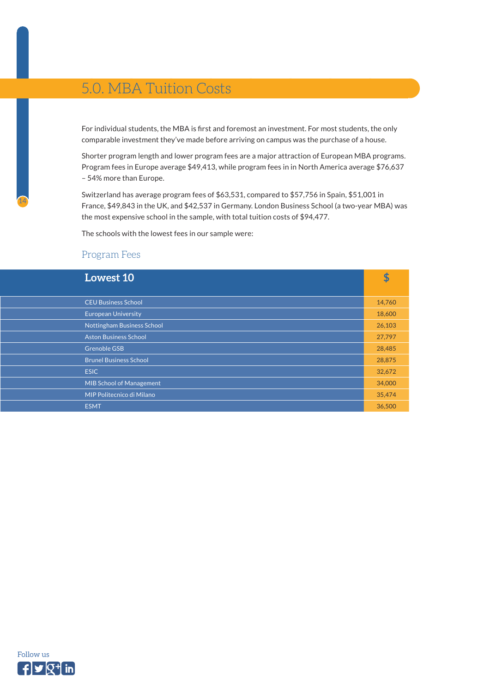# <span id="page-13-0"></span>5.0. MBA Tuition Costs

For individual students, the MBA is first and foremost an investment. For most students, the only comparable investment they've made before arriving on campus was the purchase of a house.

Shorter program length and lower program fees are a major attraction of European MBA programs. Program fees in Europe average \$49,413, while program fees in in North America average \$76,637 – 54% more than Europe.

Switzerland has average program fees of \$63,531, compared to \$57,756 in Spain, \$51,001 in France, \$49,843 in the UK, and \$42,537 in Germany. London Business School (a two-year MBA) was the most expensive school in the sample, with total tuition costs of \$94,477.

The schools with the lowest fees in our sample were:

#### Program Fees

| <b>Lowest 10</b>                  | \$     |
|-----------------------------------|--------|
|                                   |        |
| <b>CEU Business School</b>        | 14,760 |
| <b>European University</b>        | 18,600 |
| <b>Nottingham Business School</b> | 26,103 |
| <b>Aston Business School</b>      | 27,797 |
| <b>Grenoble GSB</b>               | 28,485 |
| <b>Brunel Business School</b>     | 28,875 |
| <b>ESIC</b>                       | 32,672 |
| <b>MIB School of Management</b>   | 34,000 |
| MIP Politecnico di Milano         | 35,474 |
| <b>ESMT</b>                       | 36,500 |

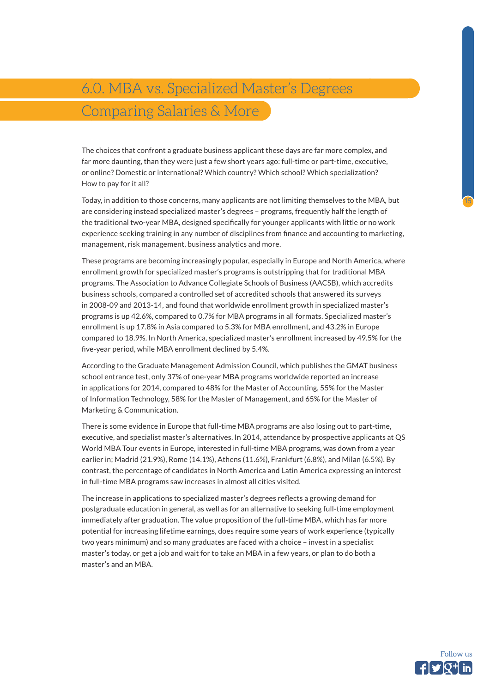15

# <span id="page-14-0"></span>6.0. MBA vs. Specialized Master's Degrees Comparing Salaries & More

The choices that confront a graduate business applicant these days are far more complex, and far more daunting, than they were just a few short years ago: full-time or part-time, executive, or online? Domestic or international? Which country? Which school? Which specialization? How to pay for it all?

Today, in addition to those concerns, many applicants are not limiting themselves to the MBA, but are considering instead specialized master's degrees – programs, frequently half the length of the traditional two-year MBA, designed specifically for younger applicants with little or no work experience seeking training in any number of disciplines from finance and accounting to marketing, management, risk management, business analytics and more.

These programs are becoming increasingly popular, especially in Europe and North America, where enrollment growth for specialized master's programs is outstripping that for traditional MBA programs. The Association to Advance Collegiate Schools of Business (AACSB), which accredits business schools, compared a controlled set of accredited schools that answered its surveys in 2008-09 and 2013-14, and found that worldwide enrollment growth in specialized master's programs is up 42.6%, compared to 0.7% for MBA programs in all formats. Specialized master's enrollment is up 17.8% in Asia compared to 5.3% for MBA enrollment, and 43.2% in Europe compared to 18.9%. In North America, specialized master's enrollment increased by 49.5% for the five-year period, while MBA enrollment declined by 5.4%.

According to the Graduate Management Admission Council, which publishes the GMAT business school entrance test, only 37% of one-year MBA programs worldwide reported an increase in applications for 2014, compared to 48% for the Master of Accounting, 55% for the Master of Information Technology, 58% for the Master of Management, and 65% for the Master of Marketing & Communication.

There is some evidence in Europe that full-time MBA programs are also losing out to part-time, executive, and specialist master's alternatives. In 2014, attendance by prospective applicants at QS World MBA Tour events in Europe, interested in full-time MBA programs, was down from a year earlier in; Madrid (21.9%), Rome (14.1%), Athens (11.6%), Frankfurt (6.8%), and Milan (6.5%). By contrast, the percentage of candidates in North America and Latin America expressing an interest in full-time MBA programs saw increases in almost all cities visited.

The increase in applications to specialized master's degrees reflects a growing demand for postgraduate education in general, as well as for an alternative to seeking full-time employment immediately after graduation. The value proposition of the full-time MBA, which has far more potential for increasing lifetime earnings, does require some years of work experience (typically two years minimum) and so many graduates are faced with a choice – invest in a specialist master's today, or get a job and wait for to take an MBA in a few years, or plan to do both a master's and an MBA.

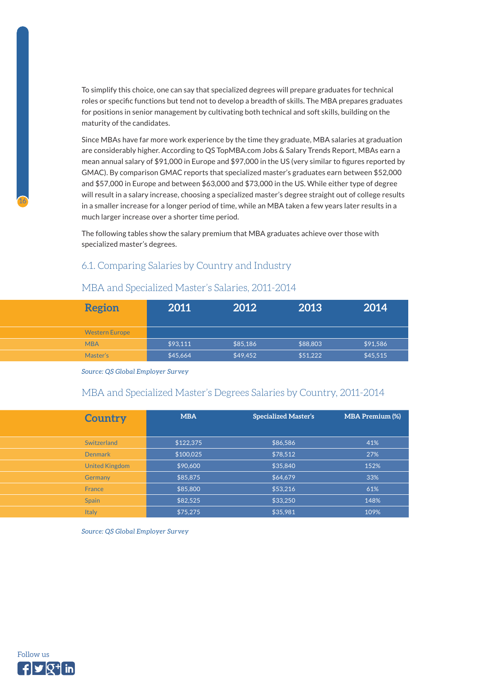<span id="page-15-0"></span>To simplify this choice, one can say that specialized degrees will prepare graduates for technical roles or specific functions but tend not to develop a breadth of skills. The MBA prepares graduates for positions in senior management by cultivating both technical and soft skills, building on the maturity of the candidates.

Since MBAs have far more work experience by the time they graduate, MBA salaries at graduation are considerably higher. According to QS TopMBA.com Jobs & Salary Trends Report, MBAs earn a mean annual salary of \$91,000 in Europe and \$97,000 in the US (very similar to figures reported by GMAC). By comparison GMAC reports that specialized master's graduates earn between \$52,000 and \$57,000 in Europe and between \$63,000 and \$73,000 in the US. While either type of degree will result in a salary increase, choosing a specialized master's degree straight out of college results in a smaller increase for a longer period of time, while an MBA taken a few years later results in a much larger increase over a shorter time period.

The following tables show the salary premium that MBA graduates achieve over those with specialized master's degrees.

### 6.1. Comparing Salaries by Country and Industry

### MBA and Specialized Master's Salaries, 2011-2014

| <b>Region</b>         | 2011     | 2012     | 2013     | 2014     |
|-----------------------|----------|----------|----------|----------|
| <b>Western Europe</b> |          |          |          |          |
| <b>MBA</b>            | \$93,111 | \$85,186 | \$88,803 | \$91,586 |
| Master's              | \$45,664 | \$49,452 | \$51,222 | \$45,515 |

*Source: QS Global Employer Survey*

#### MBA and Specialized Master's Degrees Salaries by Country, 2011-2014

| <b>Country</b>        | <b>MBA</b> | <b>Specialized Master's</b> | <b>MBA Premium (%)</b> |
|-----------------------|------------|-----------------------------|------------------------|
| Switzerland           | \$122,375  | \$86,586                    | 41%                    |
| <b>Denmark</b>        | \$100,025  | \$78,512                    | 27%                    |
| <b>United Kingdom</b> | \$90,600   | \$35,840                    | 152%                   |
| Germany               | \$85,875   | \$64,679                    | 33%                    |
| France                | \$85,800   | \$53,216                    | 61%                    |
| <b>Spain</b>          | \$82,525   | \$33,250                    | 148%                   |
| <b>Italy</b>          | \$75.275   | \$35.981                    | 109%                   |

*Source: QS Global Employer Survey*

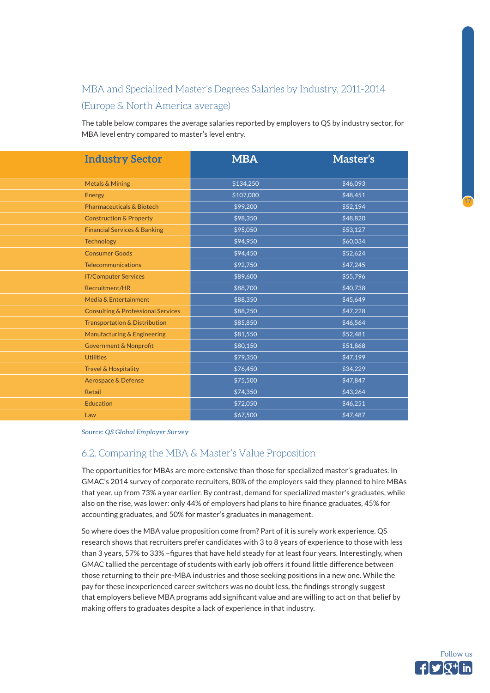# <span id="page-16-0"></span>MBA and Specialized Master's Degrees Salaries by Industry, 2011-2014 (Europe & North America average)

The table below compares the average salaries reported by employers to QS by industry sector, for MBA level entry compared to master's level entry.

| <b>Industry Sector</b>                        | <b>MBA</b> | Master's        |
|-----------------------------------------------|------------|-----------------|
|                                               |            |                 |
| <b>Metals &amp; Mining</b>                    | \$134,250  | \$46,093        |
| <b>Energy</b>                                 | \$107,000  | \$48,451        |
| <b>Pharmaceuticals &amp; Biotech</b>          | \$99,200   | \$52,194        |
| <b>Construction &amp; Property</b>            | \$98,350   | \$48,820        |
| <b>Financial Services &amp; Banking</b>       | \$95,050   | \$53,127        |
| <b>Technology</b>                             | \$94,950   | \$60,034        |
| <b>Consumer Goods</b>                         | \$94,450   | \$52,624        |
| <b>Telecommunications</b>                     | \$92,750   | \$47,245        |
| <b>IT/Computer Services</b>                   | \$89,600   | \$55,796        |
| Recruitment/HR                                | \$88,700   | \$40,738        |
| Media & Entertainment                         | \$88,350   | \$45,649        |
| <b>Consulting &amp; Professional Services</b> | \$88,250   | $\sqrt{47,228}$ |
| <b>Transportation &amp; Distribution</b>      | \$85,850   | \$46,564        |
| Manufacturing & Engineering                   | \$81,550   | \$52,481        |
| <b>Government &amp; Nonprofit</b>             | \$80,150   | \$51,868        |
| <b>Utilities</b>                              | \$79,350   | \$47,199        |
| <b>Travel &amp; Hospitality</b>               | \$76,450   | \$34,229        |
| Aerospace & Defense                           | \$75,500   | \$47,847        |
| Retail                                        | \$74,350   | \$43,264        |
| <b>Education</b>                              | \$72,050   | \$46,251        |
| Law                                           | \$67,500   | $\sqrt{47,487}$ |

*Source: QS Global Employer Survey*

#### 6.2. Comparing the MBA & Master's Value Proposition

The opportunities for MBAs are more extensive than those for specialized master's graduates. In GMAC's 2014 survey of corporate recruiters, 80% of the employers said they planned to hire MBAs that year, up from 73% a year earlier. By contrast, demand for specialized master's graduates, while also on the rise, was lower: only 44% of employers had plans to hire finance graduates, 45% for accounting graduates, and 50% for master's graduates in management.

So where does the MBA value proposition come from? Part of it is surely work experience. QS research shows that recruiters prefer candidates with 3 to 8 years of experience to those with less than 3 years, 57% to 33% –figures that have held steady for at least four years. Interestingly, when GMAC tallied the percentage of students with early job offers it found little difference between those returning to their pre-MBA industries and those seeking positions in a new one. While the pay for these inexperienced career switchers was no doubt less, the findings strongly suggest that employers believe MBA programs add significant value and are willing to act on that belief by making offers to graduates despite a lack of experience in that industry.

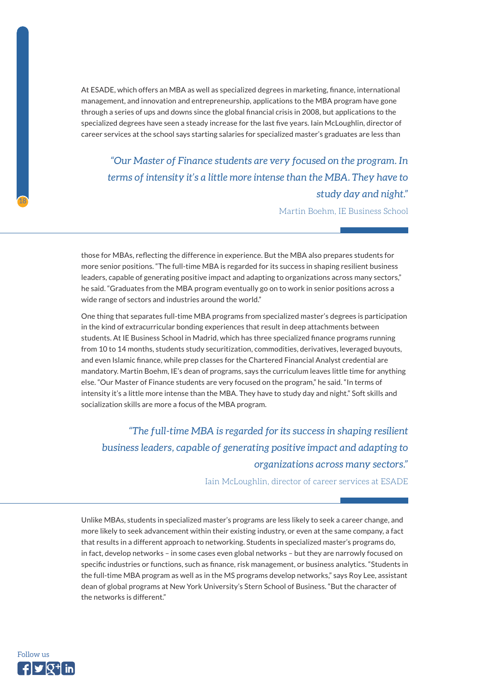At ESADE, which offers an MBA as well as specialized degrees in marketing, finance, international management, and innovation and entrepreneurship, applications to the MBA program have gone through a series of ups and downs since the global financial crisis in 2008, but applications to the specialized degrees have seen a steady increase for the last five years. Iain McLoughlin, director of career services at the school says starting salaries for specialized master's graduates are less than

*"Our Master of Finance students are very focused on the program. In terms of intensity it's a little more intense than the MBA. They have to study day and night."* 

Martin Boehm, IE Business School

those for MBAs, reflecting the difference in experience. But the MBA also prepares students for more senior positions. "The full-time MBA is regarded for its success in shaping resilient business leaders, capable of generating positive impact and adapting to organizations across many sectors," he said. "Graduates from the MBA program eventually go on to work in senior positions across a wide range of sectors and industries around the world."

One thing that separates full-time MBA programs from specialized master's degrees is participation in the kind of extracurricular bonding experiences that result in deep attachments between students. At IE Business School in Madrid, which has three specialized finance programs running from 10 to 14 months, students study securitization, commodities, derivatives, leveraged buyouts, and even Islamic finance, while prep classes for the Chartered Financial Analyst credential are mandatory. Martin Boehm, IE's dean of programs, says the curriculum leaves little time for anything else. "Our Master of Finance students are very focused on the program," he said. "In terms of intensity it's a little more intense than the MBA. They have to study day and night." Soft skills and socialization skills are more a focus of the MBA program.

*"The full-time MBA is regarded for its success in shaping resilient business leaders, capable of generating positive impact and adapting to organizations across many sectors."* 

Iain McLoughlin, director of career services at ESADE

Unlike MBAs, students in specialized master's programs are less likely to seek a career change, and more likely to seek advancement within their existing industry, or even at the same company, a fact that results in a different approach to networking. Students in specialized master's programs do, in fact, develop networks – in some cases even global networks – but they are narrowly focused on specific industries or functions, such as finance, risk management, or business analytics. "Students in the full-time MBA program as well as in the MS programs develop networks," says Roy Lee, assistant dean of global programs at New York University's Stern School of Business. "But the character of the networks is different."

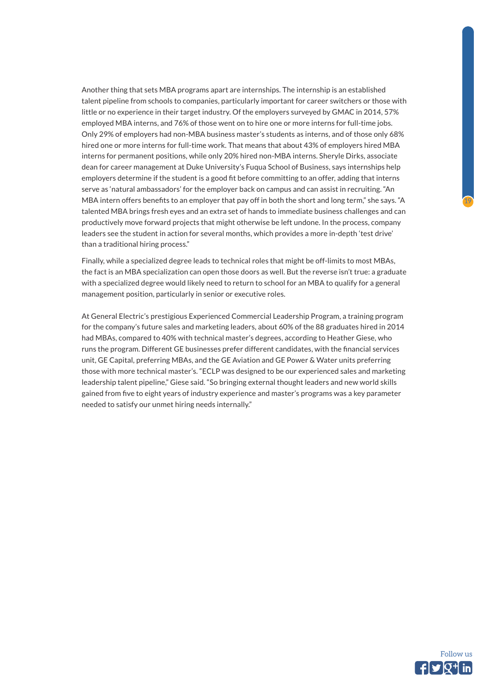Another thing that sets MBA programs apart are internships. The internship is an established talent pipeline from schools to companies, particularly important for career switchers or those with little or no experience in their target industry. Of the employers surveyed by GMAC in 2014, 57% employed MBA interns, and 76% of those went on to hire one or more interns for full-time jobs. Only 29% of employers had non-MBA business master's students as interns, and of those only 68% hired one or more interns for full-time work. That means that about 43% of employers hired MBA interns for permanent positions, while only 20% hired non-MBA interns. Sheryle Dirks, associate dean for career management at Duke University's Fuqua School of Business, says internships help employers determine if the student is a good fit before committing to an offer, adding that interns serve as 'natural ambassadors' for the employer back on campus and can assist in recruiting. "An MBA intern offers benefits to an employer that pay off in both the short and long term," she says. "A talented MBA brings fresh eyes and an extra set of hands to immediate business challenges and can productively move forward projects that might otherwise be left undone. In the process, company leaders see the student in action for several months, which provides a more in-depth 'test drive' than a traditional hiring process."

Finally, while a specialized degree leads to technical roles that might be off-limits to most MBAs, the fact is an MBA specialization can open those doors as well. But the reverse isn't true: a graduate with a specialized degree would likely need to return to school for an MBA to qualify for a general management position, particularly in senior or executive roles.

At General Electric's prestigious Experienced Commercial Leadership Program, a training program for the company's future sales and marketing leaders, about 60% of the 88 graduates hired in 2014 had MBAs, compared to 40% with technical master's degrees, according to Heather Giese, who runs the program. Different GE businesses prefer different candidates, with the financial services unit, GE Capital, preferring MBAs, and the GE Aviation and GE Power & Water units preferring those with more technical master's. "ECLP was designed to be our experienced sales and marketing leadership talent pipeline," Giese said. "So bringing external thought leaders and new world skills gained from five to eight years of industry experience and master's programs was a key parameter needed to satisfy our unmet hiring needs internally."

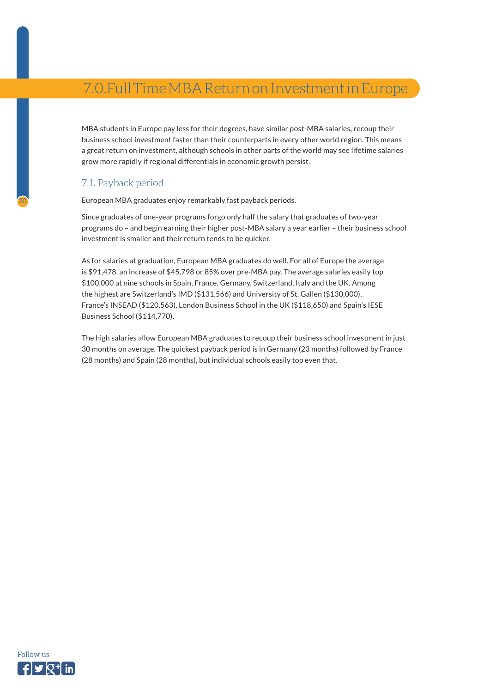# <span id="page-19-0"></span>7.0.Full Time MBA Return on Investment in Europe

MBA students in Europe pay less for their degrees, have similar post-MBA salaries, recoup their business school investment faster than their counterparts in every other world region. This means a great return on investment, although schools in other parts of the world may see lifetime salaries grow more rapidly if regional differentials in economic growth persist.

### 7.1. Payback period

20

European MBA graduates enjoy remarkably fast payback periods.

Since graduates of one-year programs forgo only half the salary that graduates of two-year programs do – and begin earning their higher post-MBA salary a year earlier – their business school investment is smaller and their return tends to be quicker.

As for salaries at graduation, European MBA graduates do well. For all of Europe the average is \$91,478, an increase of \$45,798 or 85% over pre-MBA pay. The average salaries easily top \$100,000 at nine schools in Spain, France, Germany, Switzerland, Italy and the UK. Among the highest are Switzerland's IMD (\$131,566) and University of St. Gallen (\$130,000), France's INSEAD (\$120,563), London Business School in the UK (\$118,650) and Spain's IESE Business School (\$114,770).

The high salaries allow European MBA graduates to recoup their business school investment in just 30 months on average. The quickest payback period is in Germany (23 months) followed by France (28 months) and Spain (28 months), but individual schools easily top even that.

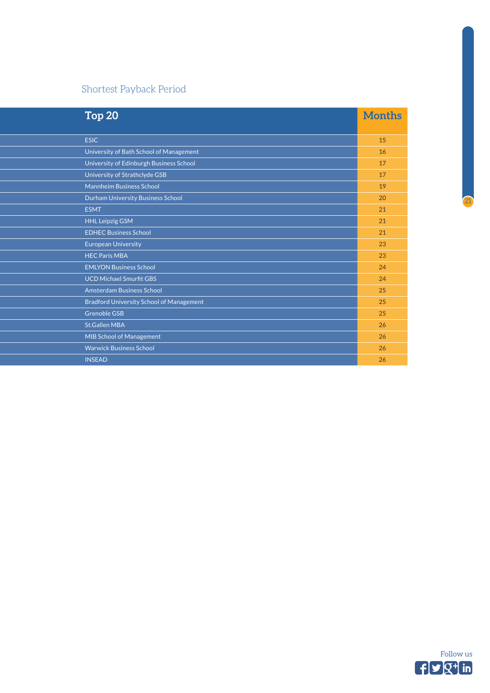## Shortest Payback Period

| Top <sub>20</sub>                               | <b>Months</b> |
|-------------------------------------------------|---------------|
|                                                 |               |
| <b>ESIC</b>                                     | 15            |
| University of Bath School of Management         | 16            |
| University of Edinburgh Business School         | 17            |
| University of Strathclyde GSB                   | 17            |
| <b>Mannheim Business School</b>                 | 19            |
| Durham University Business School               | 20            |
| <b>ESMT</b>                                     | 21            |
| <b>HHL Leipzig GSM</b>                          | 21            |
| <b>EDHEC Business School</b>                    | 21            |
| <b>European University</b>                      | 23            |
| <b>HEC Paris MBA</b>                            | 23            |
| <b>EMLYON Business School</b>                   | 24            |
| <b>UCD Michael Smurfit GBS</b>                  | 24            |
| Amsterdam Business School                       | 25            |
| <b>Bradford University School of Management</b> | 25            |
| <b>Grenoble GSB</b>                             | 25            |
| <b>St.Gallen MBA</b>                            | 26            |
| <b>MIB School of Management</b>                 | 26            |
| <b>Warwick Business School</b>                  | 26            |
| <b>INSEAD</b>                                   | 26            |

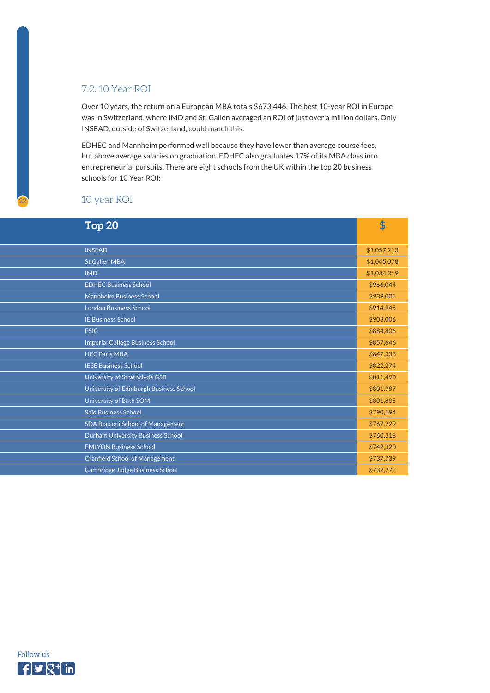## <span id="page-21-0"></span>7.2. 10 Year ROI

Over 10 years, the return on a European MBA totals \$673,446. The best 10-year ROI in Europe was in Switzerland, where IMD and St. Gallen averaged an ROI of just over a million dollars. Only INSEAD, outside of Switzerland, could match this.

EDHEC and Mannheim performed well because they have lower than average course fees, but above average salaries on graduation. EDHEC also graduates 17% of its MBA class into entrepreneurial pursuits. There are eight schools from the UK within the top 20 business schools for 10 Year ROI:

### 10 year ROI

| Top <sub>20</sub>                       | \$          |
|-----------------------------------------|-------------|
|                                         |             |
| <b>INSEAD</b>                           | \$1,057,213 |
| <b>St.Gallen MBA</b>                    | \$1,045,078 |
| <b>IMD</b>                              | \$1,034,319 |
| <b>EDHEC Business School</b>            | \$966,044   |
| <b>Mannheim Business School</b>         | \$939,005   |
| <b>London Business School</b>           | \$914,945   |
| <b>IE Business School</b>               | \$903,006   |
| <b>ESIC</b>                             | \$884,806   |
| <b>Imperial College Business School</b> | \$857,646   |
| <b>HEC Paris MBA</b>                    | \$847,333   |
| <b>IESE Business School</b>             | \$822,274   |
| University of Strathclyde GSB           | \$811,490   |
| University of Edinburgh Business School | \$801,987   |
| University of Bath SOM                  | \$801,885   |
| <b>Saïd Business School</b>             | \$790,194   |
| <b>SDA Bocconi School of Management</b> | \$767,229   |
| Durham University Business School       | \$760,318   |
| <b>EMLYON Business School</b>           | \$742,320   |
| <b>Cranfield School of Management</b>   | \$737,739   |
| Cambridge Judge Business School         | \$732,272   |

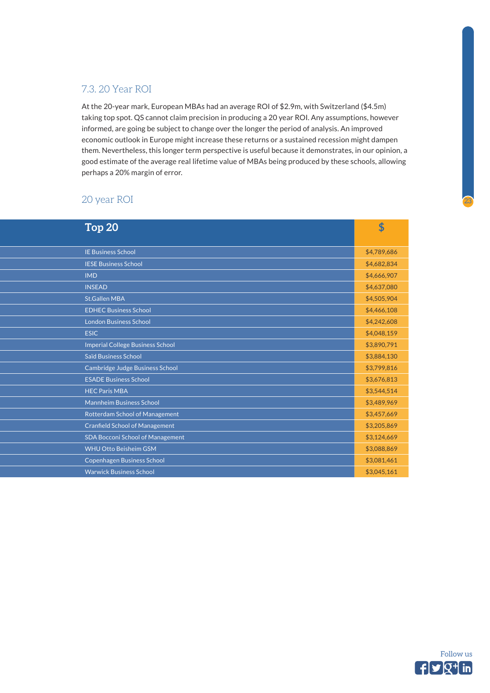## <span id="page-22-0"></span>7.3. 20 Year ROI

At the 20-year mark, European MBAs had an average ROI of \$2.9m, with Switzerland (\$4.5m) taking top spot. QS cannot claim precision in producing a 20 year ROI. Any assumptions, however informed, are going be subject to change over the longer the period of analysis. An improved economic outlook in Europe might increase these returns or a sustained recession might dampen them. Nevertheless, this longer term perspective is useful because it demonstrates, in our opinion, a good estimate of the average real lifetime value of MBAs being produced by these schools, allowing perhaps a 20% margin of error.

### 20 year ROI

| Top <sub>20</sub>                       | \$          |
|-----------------------------------------|-------------|
|                                         |             |
| <b>IE Business School</b>               | \$4,789,686 |
| <b>IESE Business School</b>             | \$4,682,834 |
| <b>IMD</b>                              | \$4,666,907 |
| <b>INSEAD</b>                           | \$4,637,080 |
| <b>St.Gallen MBA</b>                    | \$4,505,904 |
| <b>EDHEC Business School</b>            | \$4,466,108 |
| <b>London Business School</b>           | \$4,242,608 |
| <b>ESIC</b>                             | \$4,048,159 |
| <b>Imperial College Business School</b> | \$3,890,791 |
| <b>Saïd Business School</b>             | \$3,884,130 |
| Cambridge Judge Business School         | \$3,799,816 |
| <b>ESADE Business School</b>            | \$3,676,813 |
| <b>HEC Paris MBA</b>                    | \$3,544,514 |
| <b>Mannheim Business School</b>         | \$3,489,969 |
| Rotterdam School of Management          | \$3,457,669 |
| <b>Cranfield School of Management</b>   | \$3,205,869 |
| <b>SDA Bocconi School of Management</b> | \$3,124,669 |
| <b>WHU Otto Beisheim GSM</b>            | \$3,088,869 |
| <b>Copenhagen Business School</b>       | \$3,081,461 |
| <b>Warwick Business School</b>          | \$3,045,161 |

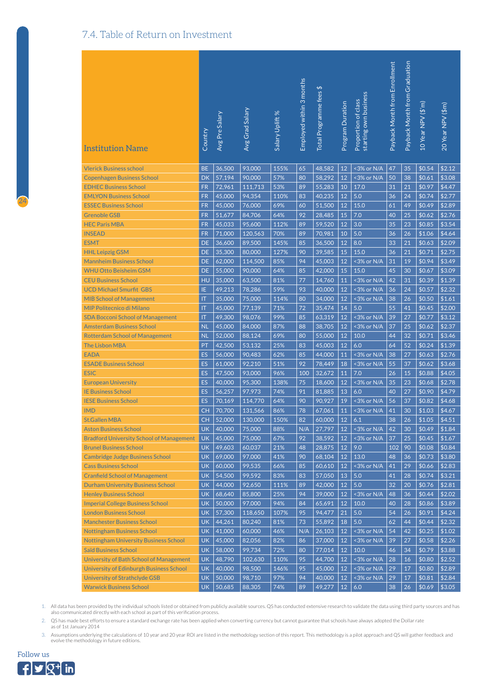## <span id="page-23-0"></span>7.4. Table of Return on Investment

| <b>Institution Name</b>                         | Country                | Avg Pre Salary | Avg Grad Salary | Salary Uplift % | Employed within 3 months | Total Programme fees \$ | Program Duration | starting own business<br>Proportion of class | Payback Month from Enrollment | Payback Month from Graduation | 10 Year NPV (\$'m) | 20 Year NPV (\$m) |
|-------------------------------------------------|------------------------|----------------|-----------------|-----------------|--------------------------|-------------------------|------------------|----------------------------------------------|-------------------------------|-------------------------------|--------------------|-------------------|
| <b>Vlerick Business school</b>                  | <b>BE</b>              | 36,500         | 93,000          | 155%            | 65                       | 48,582                  | 12               | <3% or N/A                                   | 47                            | 35                            | \$0.54             | \$2.12            |
| <b>Copenhagen Business School</b>               | <b>DK</b>              | 57,194         | 90,000          | 57%             | 80                       | 58,292                  | 12               | <3% or N/A                                   | 50                            | 38                            | \$0.61             | \$3.08            |
| <b>EDHEC Business School</b>                    | <b>FR</b>              | 72,961         | 111,713         | 53%             | 89                       | 55,283                  | 10               | 17.0                                         | 31                            | 21                            | \$0.97             | \$4.47            |
| <b>EMLYON Business School</b>                   | <b>FR</b>              | 45,000         | 94,354          | 110%            | 83                       | 40,235                  | 12               | 5.0                                          | 36                            | 24                            | \$0.74             | \$2.77            |
| <b>ESSEC Business School</b>                    | <b>FR</b>              | 45,000         | 76,000          | 69%             | 60                       | 51,500                  | 12               | 15.0                                         | 61                            | 49                            | \$0.49             | \$2.89            |
| <b>Grenoble GSB</b>                             | <b>FR</b>              | 51,677         | 84,706          | 64%             | 92                       | 28,485                  | 15               | 7.0                                          | 40                            | 25                            | \$0.62             | \$2.76            |
| <b>HEC Paris MBA</b>                            | <b>FR</b>              | 45,033         | 95,600          | 112%            | 89                       | 59,520                  | 12               | 3.0                                          | 35                            | 23                            | \$0.85             | \$3.54            |
| <b>INSEAD</b>                                   | <b>FR</b>              | 71,000         | 120,563         | 70%             | 89                       | 70,981                  | 10               | 5.0                                          | 36                            | 26                            | \$1.06             | \$4.64            |
| <b>ESMT</b>                                     | <b>DE</b>              | 36,600         | 89,500          | 145%            | 85                       | 36,500                  | 12               | 8.0                                          | 33                            | 21                            | \$0.63             | \$2.09            |
| <b>HHL Leipzig GSM</b>                          | <b>DE</b>              | 35,300         | 80,000          | 127%            | 90                       | 39,585                  | 15               | 15.0                                         | 36                            | 21                            | \$0.71             | \$2.75            |
| <b>Mannheim Business School</b>                 | <b>DE</b>              | 62,000         | 114,500         | 85%             | 94                       | 45.003                  | 12               | <3% or N/A                                   | 31                            | 19                            | \$0.94             | \$3.49            |
| <b>WHU Otto Beisheim GSM</b>                    | <b>DE</b>              | 55,000         | 90,000          | 64%             | 85                       | 42,000                  | 15               | 15.0                                         | 45                            | 30                            | \$0.67             | \$3.09            |
| <b>CEU Business School</b>                      | HU                     | 35.000         | 63,500          | 81%             | 77                       | 14,760                  | 11               | <3% or N/A                                   | 42                            | 31                            | \$0.39             | \$1.39            |
| <b>UCD Michael Smurfit GBS</b>                  | IE.                    | 49,213         | 78,286          | 59%             | 93                       | 40,000                  | 12               | <3% or N/A                                   | 36                            | 24                            | \$0.57             | \$2.32            |
| <b>MIB School of Management</b>                 | <b>IT</b>              | 35,000         | 75,000          | 114%            | 80                       | 34,000                  | 12               | <3% or N/A                                   | 38                            | 26                            | \$0.50             | \$1.61            |
| <b>MIP Politecnico di Milano</b>                | <b>IT</b>              | 45,000         | 77,139          | 71%             | 72                       | 35,474                  | 14               | 5.0                                          | 55                            | 41                            | \$0.45             | \$2.00            |
| <b>SDA Bocconi School of Management</b>         | $\mathsf{I}\mathsf{T}$ | 49,300         | 98,076          | 99%             | 85                       | 63,319                  | 12               | <3% or N/A                                   | 39                            | 27                            | \$0.77             | \$3.12            |
| <b>Amsterdam Business School</b>                | <b>NL</b>              | 45,000         | 84,000          | 87%             | 88                       | 38,705                  | 12               | <3% or N/A                                   | 37                            | 25                            | \$0.62             | \$2.37            |
| <b>Rotterdam School of Management</b>           | <b>NL</b>              | 52,000         | 88,124          | 69%             | 80                       | 55,000                  | 12               | 10.0                                         | 44                            | 32                            | \$0.71             | \$3.46            |
| <b>The Lisbon MBA</b>                           | PT                     | 42,500         | 53,132          | 25%             | 83                       | 45,003                  | 12               | 6.0                                          | 64                            | 52                            | \$0.24             | \$1.39            |
| <b>EADA</b>                                     | ES                     | 56,000         | 90,483          | 62%             | 85                       | 44,000                  | 11               | <3% or N/A                                   | 38                            | 27                            | \$0.63             | \$2.76            |
| <b>ESADE Business School</b>                    | <b>ES</b>              | 61,000         | 92,210          | 51%             | 92                       | 78,449                  | 18               | <3% or N/A                                   | 55                            | 37                            | \$0.62             | \$3.68            |
| <b>ESIC</b>                                     | <b>ES</b>              | 47,500         | 93,000          | 96%             | 100                      | 32,672                  | 11               | 7.0                                          | 26                            | 15                            | \$0.88             | \$4.05            |
| <b>European University</b>                      | <b>ES</b>              | 40,000         | 95,300          | 138%            | 75                       | 18,600                  | 12               | <3% or N/A                                   | 35                            | 23                            | \$0.68             | \$2.78            |
| <b>IE Business School</b>                       | <b>ES</b>              | 56,257         | 97,973          | 74%             | 91                       | 81,885                  | 13               | 6.0                                          | 40                            | 27                            | \$0.90             | \$4.79            |
| <b>IESE Business School</b>                     | <b>ES</b>              | 70,169         | 114,770         | 64%             | 90                       | 90,927                  | 19               | <3% or N/A                                   | 56                            | 37                            | \$0.82             | \$4.68            |
| <b>IMD</b>                                      | <b>CH</b>              | 70,700         | 131,566         | 86%             | 78                       | 67,061                  | 11               | <3% or N/A                                   | 41                            | 30                            | \$1.03             | \$4.67            |
| <b>St.Gallen MBA</b>                            | CH                     | 52,000         | 130,000         | 150%            | 82                       | 60,000                  | 12               | 6.1                                          | 38                            | 26                            | \$1.05             | \$4.51            |
| <b>Aston Business School</b>                    | <b>UK</b>              | 40,000         | 75,000          | 88%             | N/A                      | 27,797                  | 12               | <3% or N/A                                   | 42                            | 30                            | \$0.49             | \$1.84            |
| <b>Bradford University School of Management</b> | <b>UK</b>              | 45,000         | 75,000          | 67%             | 92                       | 38,592                  | 12               | <3% or N/A                                   | 37                            | 25                            | \$0.45             | \$1.67            |
| <b>Brunel Business School</b>                   | <b>UK</b>              | 49,603         | 60,037          | 21%             | 48                       | 28,875                  | 12               | 9.0                                          | 102                           | 90                            | \$0.08             | \$0.84            |
| <b>Cambridge Judge Business School</b>          | <b>UK</b>              | 69,000         | 97,000          | 41%             | 90                       | 68,104                  | 12               | 13.0                                         | 48                            | 36                            | \$0.73             | \$3.80            |
| <b>Cass Business School</b>                     | <b>UK</b>              | 60,000         | 99,535          | 66%             | 85                       | 60,610                  | 12               | <3% or N/A                                   | 41                            | 29                            | \$0.66             | \$2.83            |
| <b>Cranfield School of Management</b>           | <b>UK</b>              | 54,500         | 99,592          | 83%             | 83                       | 57,050                  | 13               | 5.0                                          | 41                            | 28                            | \$0.74             | \$3.21            |
| <b>Durham University Business School</b>        | <b>UK</b>              | 44,000         | 92,650          | 111%            | 89                       | 42,000                  | 12               | $5.0\,$                                      | 32                            | 20                            | \$0.76             | \$2.81            |
| <b>Henley Business School</b>                   | <b>UK</b>              | 68,640         | 85,800          | 25%             | 94                       | 39,000                  | 12               | <3% or N/A                                   | 48                            | 36                            | \$0.44             | \$2.02            |
| <b>Imperial College Business School</b>         | <b>UK</b>              | 50,000         | 97,000          | 94%             | 84                       | 65,691                  | 12               | 10.0                                         | 40                            | 28                            | \$0.86             | \$3.89            |
| <b>London Business School</b>                   | <b>UK</b>              | 57,300         | 118,650         | 107%            | 95                       | 94,477                  | 21               | 5.0                                          | 54                            | 26                            | \$0.91             | \$4.24            |
| <b>Manchester Business School</b>               | <b>UK</b>              | 44,261         | 80,240          | 81%             | 73                       | 55,892                  | 18               | $5.0$                                        | 62                            | 44                            | \$0.44             | \$2.32            |
| <b>Nottingham Business School</b>               | <b>UK</b>              | 41,000         | 60,000          | 46%             | N/A                      | 26,103                  | 12               | <3% or N/A                                   | 54                            | 42                            | \$0.25             | \$1.02            |
| <b>Nottingham University Business School</b>    | <b>UK</b>              | 45,000         | 82,056          | 82%             | 86                       | 37,000                  | 12               | <3% or N/A                                   | 39                            | 27                            | \$0.58             | \$2.26            |
| <b>Saïd Business School</b>                     | <b>UK</b>              | 58,000         | 99,734          | 72%             | 80                       | 77,014                  | 12               | 10.0                                         | 46                            | 34                            | \$0.79             | \$3.88            |
| University of Bath School of Management         | <b>UK</b>              | 48,790         | 102,630         | 110%            | 95                       | 44,700                  | 12               | <3% or N/A                                   | 28                            | 16                            | \$0.80             | \$2.52            |
| <b>University of Edinburgh Business School</b>  | <b>UK</b>              | 40,000         | 98,500          | 146%            | 95                       | 45,000                  | 12               | <3% or N/A                                   | 29                            | 17                            | \$0.80             | \$2.89            |
| <b>University of Strathclyde GSB</b>            | <b>UK</b>              | 50,000         | 98,710          | 97%             | 94                       | 40,000                  | 12               | <3% or N/A                                   | 29                            | 17                            | \$0.81             | \$2.84            |
| <b>Warwick Business School</b>                  | <b>UK</b>              | 50,685         | 88,305          | 74%             | 89                       | 49,277                  | 12 <sup>7</sup>  | 6.0                                          | 38                            | 26                            | \$0.69             | \$3.05            |

1. All data has been provided by the individual schools listed or obtained from publicly available sources. QS has conducted extensive research to validate the data using third party sources and has<br>also communicated direc

2. QS has made best efforts to ensure a standard exchange rate has been applied when converting currency but cannot guarantee that schools have always adopted the Dollar rate as of 1st January 2014

3. Assumptions underlying the calculations of 10 year and 20 year ROI are listed in the methodology section of this report. This methodology is a pilot approach and QS will gather feedback and<br>evolve the methodology in fut

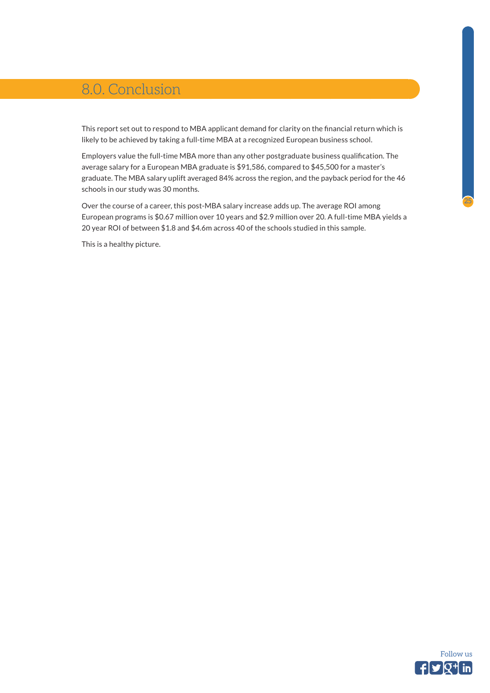# <span id="page-24-0"></span>8.0. Conclusion

This report set out to respond to MBA applicant demand for clarity on the financial return which is likely to be achieved by taking a full-time MBA at a recognized European business school.

Employers value the full-time MBA more than any other postgraduate business qualification. The average salary for a European MBA graduate is \$91,586, compared to \$45,500 for a master's graduate. The MBA salary uplift averaged 84% across the region, and the payback period for the 46 schools in our study was 30 months.

Over the course of a career, this post-MBA salary increase adds up. The average ROI among European programs is \$0.67 million over 10 years and \$2.9 million over 20. A full-time MBA yields a 20 year ROI of between \$1.8 and \$4.6m across 40 of the schools studied in this sample.

This is a healthy picture.